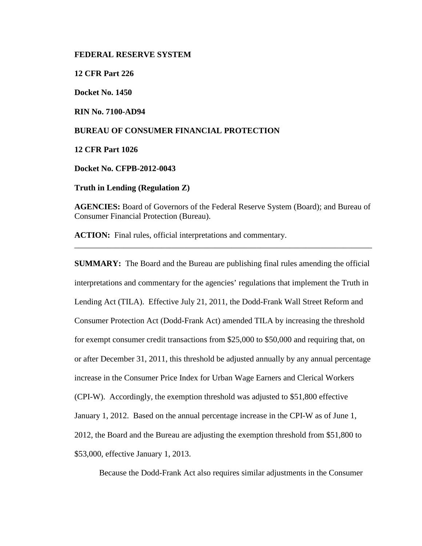### **FEDERAL RESERVE SYSTEM**

**12 CFR Part 226**

**Docket No. 1450**

**RIN No. 7100-AD94**

## **BUREAU OF CONSUMER FINANCIAL PROTECTION**

**12 CFR Part 1026**

**Docket No. CFPB-2012-0043**

**Truth in Lending (Regulation Z)** 

**AGENCIES:** Board of Governors of the Federal Reserve System (Board); and Bureau of Consumer Financial Protection (Bureau).

\_\_\_\_\_\_\_\_\_\_\_\_\_\_\_\_\_\_\_\_\_\_\_\_\_\_\_\_\_\_\_\_\_\_\_\_\_\_\_\_\_\_\_\_\_\_\_\_\_\_\_\_\_\_\_\_\_\_\_\_\_\_\_\_\_\_\_\_\_\_\_\_

**ACTION:** Final rules, official interpretations and commentary.

**SUMMARY:** The Board and the Bureau are publishing final rules amending the official interpretations and commentary for the agencies' regulations that implement the Truth in Lending Act (TILA). Effective July 21, 2011, the Dodd-Frank Wall Street Reform and Consumer Protection Act (Dodd-Frank Act) amended TILA by increasing the threshold for exempt consumer credit transactions from \$25,000 to \$50,000 and requiring that, on or after December 31, 2011, this threshold be adjusted annually by any annual percentage increase in the Consumer Price Index for Urban Wage Earners and Clerical Workers (CPI-W). Accordingly, the exemption threshold was adjusted to \$51,800 effective January 1, 2012. Based on the annual percentage increase in the CPI-W as of June 1, 2012, the Board and the Bureau are adjusting the exemption threshold from \$51,800 to \$53,000, effective January 1, 2013.

<span id="page-0-0"></span>Because the Dodd-Frank Act also requires similar adjustments in the Consumer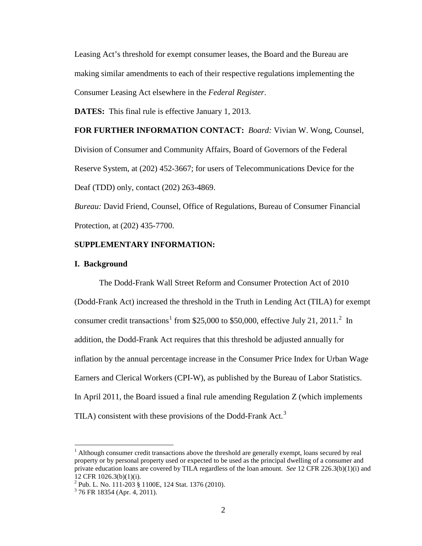Leasing Act's threshold for exempt consumer leases, the Board and the Bureau are making similar amendments to each of their respective regulations implementing the Consumer Leasing Act elsewhere in the *Federal Register*.

**DATES:** This final rule is effective January 1, 2013.

**FOR FURTHER INFORMATION CONTACT:** *Board:* Vivian W. Wong, Counsel, Division of Consumer and Community Affairs, Board of Governors of the Federal Reserve System, at (202) 452-3667; for users of Telecommunications Device for the Deaf (TDD) only, contact (202) 263-4869.

*Bureau:* David Friend, Counsel, Office of Regulations, Bureau of Consumer Financial Protection, at (202) 435-7700.

## **SUPPLEMENTARY INFORMATION:**

#### **I. Background**

<span id="page-1-2"></span>The Dodd-Frank Wall Street Reform and Consumer Protection Act of 2010 (Dodd-Frank Act) increased the threshold in the Truth in Lending Act (TILA) for exempt consumer credit transactions<sup>[1](#page-0-0)</sup> from \$[2](#page-1-0)5,000 to \$50,000, effective July 21, 2011.<sup>2</sup> In addition, the Dodd-Frank Act requires that this threshold be adjusted annually for inflation by the annual percentage increase in the Consumer Price Index for Urban Wage Earners and Clerical Workers (CPI-W), as published by the Bureau of Labor Statistics. In April 2011, the Board issued a final rule amending Regulation Z (which implements TILA) consistent with these provisions of the Dodd-Frank Act.<sup>[3](#page-1-1)</sup>

 $<sup>1</sup>$  Although consumer credit transactions above the threshold are generally exempt, loans secured by real</sup> property or by personal property used or expected to be used as the principal dwelling of a consumer and private education loans are covered by TILA regardless of the loan amount. *See* 12 CFR 226.3(b)(1)(i) and 12 CFR 1026.3(b)(1)(i).

<span id="page-1-0"></span><sup>&</sup>lt;sup>2</sup> Pub. L. No. 111-203 § 1100E, 124 Stat. 1376 (2010).<br><sup>3</sup> 76 FR 18354 (Apr. 4, 2011).

<span id="page-1-1"></span>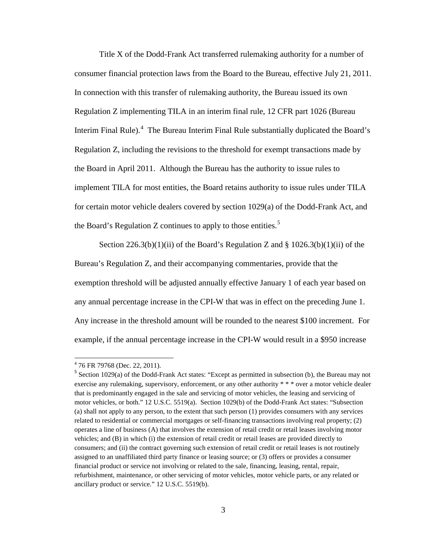Title X of the Dodd-Frank Act transferred rulemaking authority for a number of consumer financial protection laws from the Board to the Bureau, effective July 21, 2011. In connection with this transfer of rulemaking authority, the Bureau issued its own Regulation Z implementing TILA in an interim final rule, 12 CFR part 1026 (Bureau Interim Final Rule).<sup>[4](#page-1-2)</sup> The Bureau Interim Final Rule substantially duplicated the Board's Regulation Z, including the revisions to the threshold for exempt transactions made by the Board in April 2011. Although the Bureau has the authority to issue rules to implement TILA for most entities, the Board retains authority to issue rules under TILA for certain motor vehicle dealers covered by section 1029(a) of the Dodd-Frank Act, and the Board's Regulation Z continues to apply to those entities.<sup>[5](#page-2-0)</sup>

Section  $226.3(b)(1)(ii)$  of the Board's Regulation Z and § 1026.3(b)(1)(ii) of the Bureau's Regulation Z, and their accompanying commentaries, provide that the exemption threshold will be adjusted annually effective January 1 of each year based on any annual percentage increase in the CPI-W that was in effect on the preceding June 1. Any increase in the threshold amount will be rounded to the nearest \$100 increment. For example, if the annual percentage increase in the CPI-W would result in a \$950 increase

<sup>4</sup> 76 FR 79768 (Dec. 22, 2011).

<span id="page-2-0"></span> $<sup>5</sup>$  Section 1029(a) of the Dodd-Frank Act states: "Except as permitted in subsection (b), the Bureau may not</sup> exercise any rulemaking, supervisory, enforcement, or any other authority \* \* \* over a motor vehicle dealer that is predominantly engaged in the sale and servicing of motor vehicles, the leasing and servicing of motor vehicles, or both." 12 U.S.C. 5519(a). Section 1029(b) of the Dodd-Frank Act states: "Subsection (a) shall not apply to any person, to the extent that such person (1) provides consumers with any services related to residential or commercial mortgages or self-financing transactions involving real property; (2) operates a line of business (A) that involves the extension of retail credit or retail leases involving motor vehicles; and (B) in which (i) the extension of retail credit or retail leases are provided directly to consumers; and (ii) the contract governing such extension of retail credit or retail leases is not routinely assigned to an unaffiliated third party finance or leasing source; or (3) offers or provides a consumer financial product or service not involving or related to the sale, financing, leasing, rental, repair, refurbishment, maintenance, or other servicing of motor vehicles, motor vehicle parts, or any related or ancillary product or service." 12 U.S.C. 5519(b).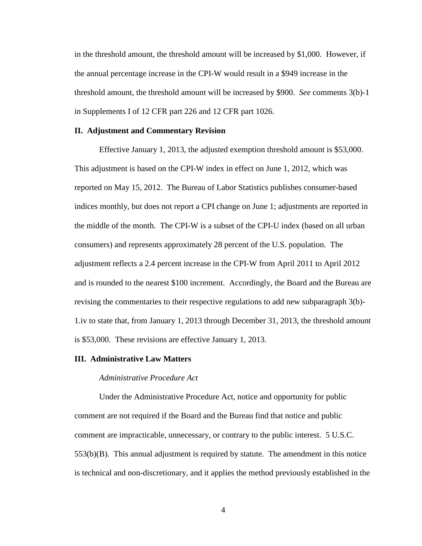in the threshold amount, the threshold amount will be increased by \$1,000. However, if the annual percentage increase in the CPI-W would result in a \$949 increase in the threshold amount, the threshold amount will be increased by \$900. *See* comments 3(b)-1 in Supplements I of 12 CFR part 226 and 12 CFR part 1026.

## **II. Adjustment and Commentary Revision**

Effective January 1, 2013, the adjusted exemption threshold amount is \$53,000. This adjustment is based on the CPI-W index in effect on June 1, 2012, which was reported on May 15, 2012. The Bureau of Labor Statistics publishes consumer-based indices monthly, but does not report a CPI change on June 1; adjustments are reported in the middle of the month. The CPI-W is a subset of the CPI-U index (based on all urban consumers) and represents approximately 28 percent of the U.S. population. The adjustment reflects a 2.4 percent increase in the CPI-W from April 2011 to April 2012 and is rounded to the nearest \$100 increment. Accordingly, the Board and the Bureau are revising the commentaries to their respective regulations to add new subparagraph 3(b)- 1.iv to state that, from January 1, 2013 through December 31, 2013, the threshold amount is \$53,000. These revisions are effective January 1, 2013.

#### **III. Administrative Law Matters**

### *Administrative Procedure Act*

Under the Administrative Procedure Act, notice and opportunity for public comment are not required if the Board and the Bureau find that notice and public comment are impracticable, unnecessary, or contrary to the public interest. 5 U.S.C. 553(b)(B). This annual adjustment is required by statute. The amendment in this notice is technical and non-discretionary, and it applies the method previously established in the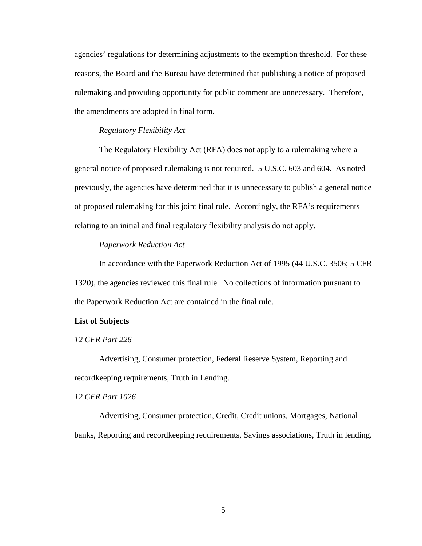agencies' regulations for determining adjustments to the exemption threshold. For these reasons, the Board and the Bureau have determined that publishing a notice of proposed rulemaking and providing opportunity for public comment are unnecessary. Therefore, the amendments are adopted in final form.

## *Regulatory Flexibility Act*

The Regulatory Flexibility Act (RFA) does not apply to a rulemaking where a general notice of proposed rulemaking is not required. 5 U.S.C. 603 and 604. As noted previously, the agencies have determined that it is unnecessary to publish a general notice of proposed rulemaking for this joint final rule. Accordingly, the RFA's requirements relating to an initial and final regulatory flexibility analysis do not apply.

#### *Paperwork Reduction Act*

In accordance with the Paperwork Reduction Act of 1995 (44 U.S.C. 3506; 5 CFR 1320), the agencies reviewed this final rule. No collections of information pursuant to the Paperwork Reduction Act are contained in the final rule.

#### **List of Subjects**

## *12 CFR Part 226*

Advertising, Consumer protection, Federal Reserve System, Reporting and recordkeeping requirements, Truth in Lending.

#### *12 CFR Part 1026*

Advertising, Consumer protection, Credit, Credit unions, Mortgages, National banks, Reporting and recordkeeping requirements, Savings associations, Truth in lending.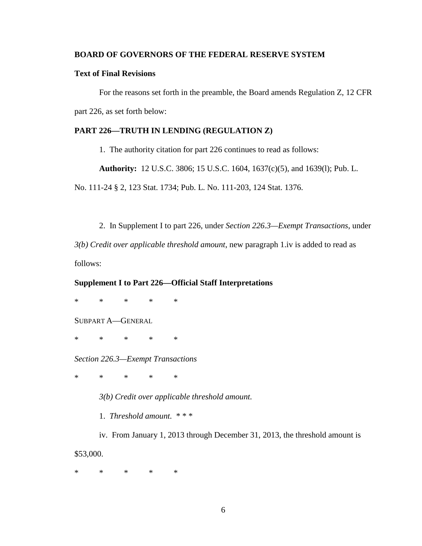## **BOARD OF GOVERNORS OF THE FEDERAL RESERVE SYSTEM**

# **Text of Final Revisions**

For the reasons set forth in the preamble, the Board amends Regulation Z, 12 CFR part 226, as set forth below:

# **PART 226—TRUTH IN LENDING (REGULATION Z)**

1. The authority citation for part 226 continues to read as follows:

**Authority:** 12 U.S.C. 3806; 15 U.S.C. 1604, 1637(c)(5), and 1639(l); Pub. L.

No. 111-24 § 2, 123 Stat. 1734; Pub. L. No. 111-203, 124 Stat. 1376.

2. In Supplement I to part 226, under *Section 226.3—Exempt Transactions*, under *3(b) Credit over applicable threshold amount*, new paragraph 1.iv is added to read as follows:

## **Supplement I to Part 226—Official Staff Interpretations**

\* \* \* \* \*

SUBPART A—GENERAL

\* \* \* \* \*

*Section 226.3—Exempt Transactions*

\* \* \* \* \*

*3(b) Credit over applicable threshold amount.* 

1. *Threshold amount.* \* \* \*

iv. From January 1, 2013 through December 31, 2013, the threshold amount is \$53,000.

\* \* \* \* \*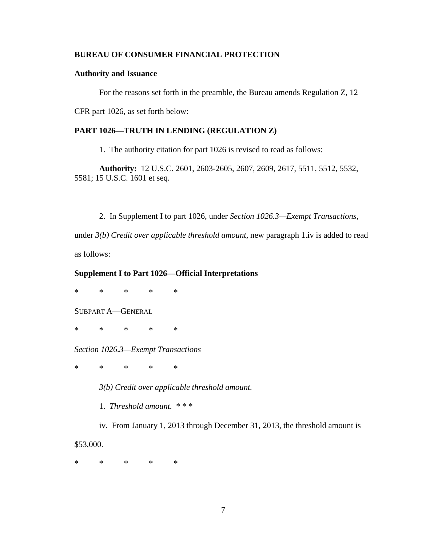# **BUREAU OF CONSUMER FINANCIAL PROTECTION**

## **Authority and Issuance**

For the reasons set forth in the preamble, the Bureau amends Regulation Z, 12

CFR part 1026, as set forth below:

# **PART 1026—TRUTH IN LENDING (REGULATION Z)**

1. The authority citation for part 1026 is revised to read as follows:

**Authority:** 12 U.S.C. 2601, 2603-2605, 2607, 2609, 2617, 5511, 5512, 5532, 5581; 15 U.S.C. 1601 et seq.

2. In Supplement I to part 1026, under *Section 1026.3—Exempt Transactions*,

under *3(b) Credit over applicable threshold amount*, new paragraph 1.iv is added to read as follows:

#### **Supplement I to Part 1026—Official Interpretations**

\* \* \* \* \*

SUBPART A—GENERAL

\* \* \* \* \*

*Section 1026.3—Exempt Transactions*

\* \* \* \* \*

*3(b) Credit over applicable threshold amount.* 

1. *Threshold amount.* \* \* \*

iv. From January 1, 2013 through December 31, 2013, the threshold amount is \$53,000.

\* \* \* \* \*